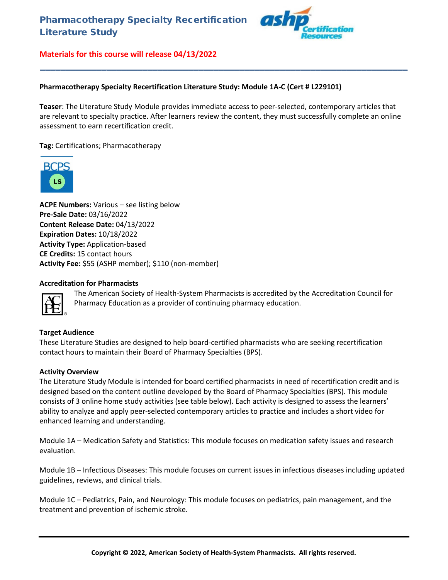

### **Pharmacotherapy Specialty Recertification Literature Study: Module 1A-C (Cert # L229101)**

**Teaser**: The Literature Study Module provides immediate access to peer-selected, contemporary articles that are relevant to specialty practice. After learners review the content, they must successfully complete an online assessment to earn recertification credit.

**\_\_\_\_\_\_\_\_\_\_\_\_\_\_\_\_\_\_\_\_\_\_\_\_\_\_\_\_\_\_\_\_\_\_\_\_\_\_\_\_\_\_\_\_\_\_\_\_\_\_\_\_\_\_\_\_\_\_\_\_\_\_\_\_\_\_\_\_\_\_\_\_**

**Tag:** Certifications; Pharmacotherapy



**ACPE Numbers:** Various – see listing below **Pre-Sale Date:** 03/16/2022 **Content Release Date:** 04/13/2022 **Expiration Dates:** 10/18/2022 **Activity Type:** Application-based **CE Credits:** 15 contact hours **Activity Fee:** \$55 (ASHP member); \$110 (non-member)

#### **Accreditation for Pharmacists**

The American Society of Health-System Pharmacists is accredited by the Accreditation Council for Pharmacy Education as a provider of continuing pharmacy education.

#### **Target Audience**

These Literature Studies are designed to help board-certified pharmacists who are seeking recertification contact hours to maintain their Board of Pharmacy Specialties (BPS).

#### **Activity Overview**

The Literature Study Module is intended for board certified pharmacists in need of recertification credit and is designed based on the content outline developed by the Board of Pharmacy Specialties (BPS). This module consists of 3 online home study activities (see table below). Each activity is designed to assess the learners' ability to analyze and apply peer-selected contemporary articles to practice and includes a short video for enhanced learning and understanding.

Module 1A – Medication Safety and Statistics: This module focuses on medication safety issues and research evaluation.

Module 1B – Infectious Diseases: This module focuses on current issues in infectious diseases including updated guidelines, reviews, and clinical trials.

Module 1C – Pediatrics, Pain, and Neurology: This module focuses on pediatrics, pain management, and the treatment and prevention of ischemic stroke.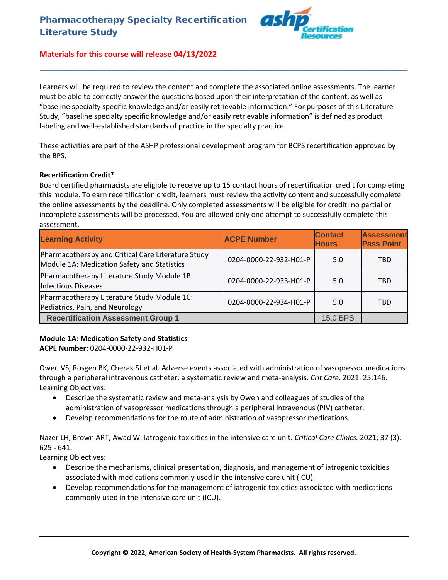

Learners will be required to review the content and complete the associated online assessments. The learner must be able to correctly answer the questions based upon their interpretation of the content, as well as "baseline specialty specific knowledge and/or easily retrievable information." For purposes of this Literature Study, "baseline specialty specific knowledge and/or easily retrievable information" is defined as product labeling and well-established standards of practice in the specialty practice.

**\_\_\_\_\_\_\_\_\_\_\_\_\_\_\_\_\_\_\_\_\_\_\_\_\_\_\_\_\_\_\_\_\_\_\_\_\_\_\_\_\_\_\_\_\_\_\_\_\_\_\_\_\_\_\_\_\_\_\_\_\_\_\_\_\_\_\_\_\_\_\_\_**

These activities are part of the ASHP professional development program for BCPS recertification approved by the BPS.

### **Recertification Credit\***

Board certified pharmacists are eligible to receive up to 15 contact hours of recertification credit for completing this module. To earn recertification credit, learners must review the activity content and successfully complete the online assessments by the deadline. Only completed assessments will be eligible for credit; no partial or incomplete assessments will be processed. You are allowed only one attempt to successfully complete this assessment.

| <b>Learning Activity</b>                                                                          | <b>ACPE Number</b>     | <b>Contact</b><br><b>Hours</b> | <b>Assessment</b><br><b>Pass Point</b> |
|---------------------------------------------------------------------------------------------------|------------------------|--------------------------------|----------------------------------------|
| Pharmacotherapy and Critical Care Literature Study<br>Module 1A: Medication Safety and Statistics | 0204-0000-22-932-H01-P | 5.0                            | <b>TBD</b>                             |
| Pharmacotherapy Literature Study Module 1B:<br><b>Infectious Diseases</b>                         | 0204-0000-22-933-H01-P | 5.0                            | <b>TBD</b>                             |
| Pharmacotherapy Literature Study Module 1C:<br>Pediatrics, Pain, and Neurology                    | 0204-0000-22-934-H01-P | 5.0                            | <b>TBD</b>                             |
| <b>Recertification Assessment Group 1</b>                                                         |                        | 15.0 BPS                       |                                        |

## **Module 1A: Medication Safety and Statistics**

**ACPE Number:** 0204-0000-22-932-H01-P

Owen VS, Rosgen BK, Cherak SJ et al. Adverse events associated with administration of vasopressor medications through a peripheral intravenous catheter: a systematic review and meta-analysis. *Crit Care.* 2021: 25:146. Learning Objectives:

- Describe the systematic review and meta-analysis by Owen and colleagues of studies of the administration of vasopressor medications through a peripheral intravenous (PIV) catheter.
- Develop recommendations for the route of administration of vasopressor medications.

Nazer LH, Brown ART, Awad W. Iatrogenic toxicities in the intensive care unit. *Critical Care Clinics.* 2021; 37 (3): 625 - 641.

Learning Objectives:

- Describe the mechanisms, clinical presentation, diagnosis, and management of iatrogenic toxicities associated with medications commonly used in the intensive care unit (ICU).
- Develop recommendations for the management of iatrogenic toxicities associated with medications commonly used in the intensive care unit (ICU).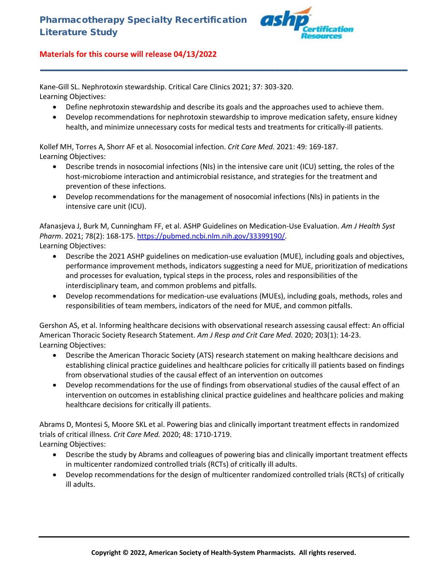

Kane-Gill SL. Nephrotoxin stewardship. Critical Care Clinics 2021; 37: 303-320. Learning Objectives:

- Define nephrotoxin stewardship and describe its goals and the approaches used to achieve them.
- Develop recommendations for nephrotoxin stewardship to improve medication safety, ensure kidney health, and minimize unnecessary costs for medical tests and treatments for critically-ill patients.

**\_\_\_\_\_\_\_\_\_\_\_\_\_\_\_\_\_\_\_\_\_\_\_\_\_\_\_\_\_\_\_\_\_\_\_\_\_\_\_\_\_\_\_\_\_\_\_\_\_\_\_\_\_\_\_\_\_\_\_\_\_\_\_\_\_\_\_\_\_\_\_\_**

Kollef MH, Torres A, Shorr AF et al. Nosocomial infection. *Crit Care Med.* 2021: 49: 169-187. Learning Objectives:

- Describe trends in nosocomial infections (NIs) in the intensive care unit (ICU) setting, the roles of the host-microbiome interaction and antimicrobial resistance, and strategies for the treatment and prevention of these infections.
- Develop recommendations for the management of nosocomial infections (NIs) in patients in the intensive care unit (ICU).

Afanasjeva J, Burk M, Cunningham FF, et al. ASHP Guidelines on Medication-Use Evaluation. *Am J Health Syst Pharm*. 2021; 78(2): 168-175. [https://pubmed.ncbi.nlm.nih.gov/33399190/.](https://pubmed.ncbi.nlm.nih.gov/33399190/) Learning Objectives:

- Describe the 2021 ASHP guidelines on medication-use evaluation (MUE), including goals and objectives, performance improvement methods, indicators suggesting a need for MUE, prioritization of medications and processes for evaluation, typical steps in the process, roles and responsibilities of the interdisciplinary team, and common problems and pitfalls.
- Develop recommendations for medication-use evaluations (MUEs), including goals, methods, roles and responsibilities of team members, indicators of the need for MUE, and common pitfalls.

Gershon AS, et al. Informing healthcare decisions with observational research assessing causal effect: An official American Thoracic Society Research Statement. *Am J Resp and Crit Care Med.* 2020; 203(1): 14-23. Learning Objectives:

- Describe the American Thoracic Society (ATS) research statement on making healthcare decisions and establishing clinical practice guidelines and healthcare policies for critically ill patients based on findings from observational studies of the causal effect of an intervention on outcomes
- Develop recommendations for the use of findings from observational studies of the causal effect of an intervention on outcomes in establishing clinical practice guidelines and healthcare policies and making healthcare decisions for critically ill patients.

Abrams D, Montesi S, Moore SKL et al. Powering bias and clinically important treatment effects in randomized trials of critical illness. *Crit Care Med.* 2020; 48: 1710-1719.

Learning Objectives:

- Describe the study by Abrams and colleagues of powering bias and clinically important treatment effects in multicenter randomized controlled trials (RCTs) of critically ill adults.
- Develop recommendations for the design of multicenter randomized controlled trials (RCTs) of critically ill adults.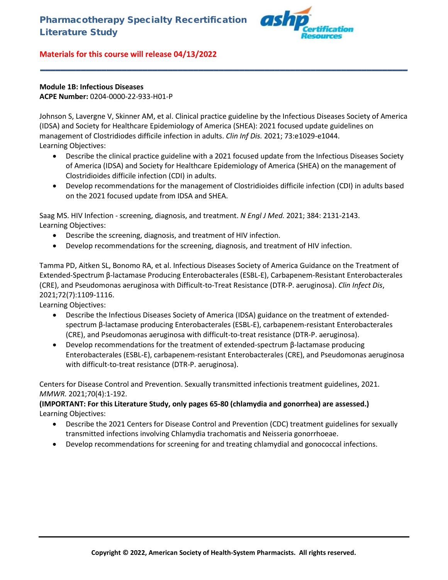

## **Module 1B: Infectious Diseases ACPE Number:** 0204-0000-22-933-H01-P

Johnson S, Lavergne V, Skinner AM, et al. Clinical practice guideline by the Infectious Diseases Society of America (IDSA) and Society for Healthcare Epidemiology of America (SHEA): 2021 focused update guidelines on management of Clostridiodes difficile infection in adults. *Clin Inf Dis.* 2021; 73:e1029-e1044. Learning Objectives:

**\_\_\_\_\_\_\_\_\_\_\_\_\_\_\_\_\_\_\_\_\_\_\_\_\_\_\_\_\_\_\_\_\_\_\_\_\_\_\_\_\_\_\_\_\_\_\_\_\_\_\_\_\_\_\_\_\_\_\_\_\_\_\_\_\_\_\_\_\_\_\_\_**

- Describe the clinical practice guideline with a 2021 focused update from the Infectious Diseases Society of America (IDSA) and Society for Healthcare Epidemiology of America (SHEA) on the management of Clostridioides difficile infection (CDI) in adults.
- Develop recommendations for the management of Clostridioides difficile infection (CDI) in adults based on the 2021 focused update from IDSA and SHEA.

Saag MS. HIV Infection - screening, diagnosis, and treatment. *N Engl J Med.* 2021; 384: 2131-2143. Learning Objectives:

- Describe the screening, diagnosis, and treatment of HIV infection.
- Develop recommendations for the screening, diagnosis, and treatment of HIV infection.

Tamma PD, Aitken SL, Bonomo RA, et al. Infectious Diseases Society of America Guidance on the Treatment of Extended-Spectrum β-lactamase Producing Enterobacterales (ESBL-E), Carbapenem-Resistant Enterobacterales (CRE), and Pseudomonas aeruginosa with Difficult-to-Treat Resistance (DTR-P. aeruginosa). *Clin Infect Dis*, 2021;72(7):1109-1116.

Learning Objectives:

- Describe the Infectious Diseases Society of America (IDSA) guidance on the treatment of extendedspectrum β-lactamase producing Enterobacterales (ESBL-E), carbapenem-resistant Enterobacterales (CRE), and Pseudomonas aeruginosa with difficult-to-treat resistance (DTR-P. aeruginosa).
- Develop recommendations for the treatment of extended-spectrum β-lactamase producing Enterobacterales (ESBL-E), carbapenem-resistant Enterobacterales (CRE), and Pseudomonas aeruginosa with difficult-to-treat resistance (DTR-P. aeruginosa).

Centers for Disease Control and Prevention. Sexually transmitted infectionis treatment guidelines, 2021. *MMWR.* 2021;70(4):1-192.

## **(IMPORTANT: For this Literature Study, only pages 65-80 (chlamydia and gonorrhea) are assessed.)** Learning Objectives:

- Describe the 2021 Centers for Disease Control and Prevention (CDC) treatment guidelines for sexually transmitted infections involving Chlamydia trachomatis and Neisseria gonorrhoeae.
- Develop recommendations for screening for and treating chlamydial and gonococcal infections.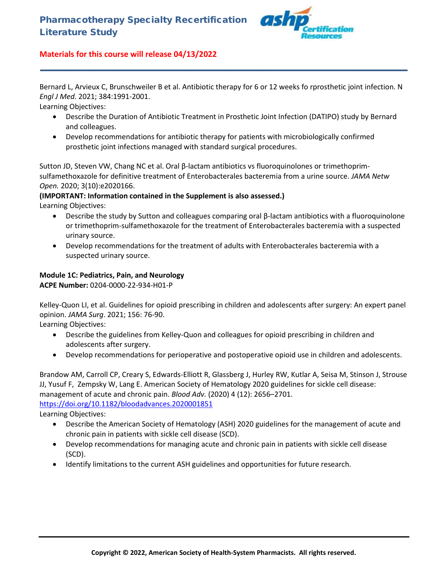

Bernard L, Arvieux C, Brunschweiler B et al. Antibiotic therapy for 6 or 12 weeks fo rprosthetic joint infection. N *Engl J Med.* 2021; 384:1991-2001.

**\_\_\_\_\_\_\_\_\_\_\_\_\_\_\_\_\_\_\_\_\_\_\_\_\_\_\_\_\_\_\_\_\_\_\_\_\_\_\_\_\_\_\_\_\_\_\_\_\_\_\_\_\_\_\_\_\_\_\_\_\_\_\_\_\_\_\_\_\_\_\_\_**

Learning Objectives:

- Describe the Duration of Antibiotic Treatment in Prosthetic Joint Infection (DATIPO) study by Bernard and colleagues.
- Develop recommendations for antibiotic therapy for patients with microbiologically confirmed prosthetic joint infections managed with standard surgical procedures.

Sutton JD, Steven VW, Chang NC et al. Oral β-lactam antibiotics vs fluoroquinolones or trimethoprimsulfamethoxazole for definitive treatment of Enterobacterales bacteremia from a urine source. *JAMA Netw Open.* 2020; 3(10):e2020166.

## **(IMPORTANT: Information contained in the Supplement is also assessed.)**

Learning Objectives:

- Describe the study by Sutton and colleagues comparing oral β-lactam antibiotics with a fluoroquinolone or trimethoprim-sulfamethoxazole for the treatment of Enterobacterales bacteremia with a suspected urinary source.
- Develop recommendations for the treatment of adults with Enterobacterales bacteremia with a suspected urinary source.

## **Module 1C: Pediatrics, Pain, and Neurology**

**ACPE Number:** 0204-0000-22-934-H01-P

Kelley-Quon LI, et al. Guidelines for opioid prescribing in children and adolescents after surgery: An expert panel opinion. *JAMA Surg*. 2021; 156: 76-90.

Learning Objectives:

- Describe the guidelines from Kelley-Quon and colleagues for opioid prescribing in children and adolescents after surgery.
- Develop recommendations for perioperative and postoperative opioid use in children and adolescents.

Brandow AM, Carroll CP, Creary S, Edwards-Elliott R, Glassberg J, Hurley RW, Kutlar A, Seisa M, Stinson J, Strouse JJ, Yusuf F, Zempsky W, Lang E. American Society of Hematology 2020 guidelines for sickle cell disease: management of acute and chronic pain. *Blood Adv.* (2020) 4 (12): 2656–2701. <https://doi.org/10.1182/bloodadvances.2020001851>

Learning Objectives:

- Describe the American Society of Hematology (ASH) 2020 guidelines for the management of acute and chronic pain in patients with sickle cell disease (SCD).
- Develop recommendations for managing acute and chronic pain in patients with sickle cell disease (SCD).
- Identify limitations to the current ASH guidelines and opportunities for future research.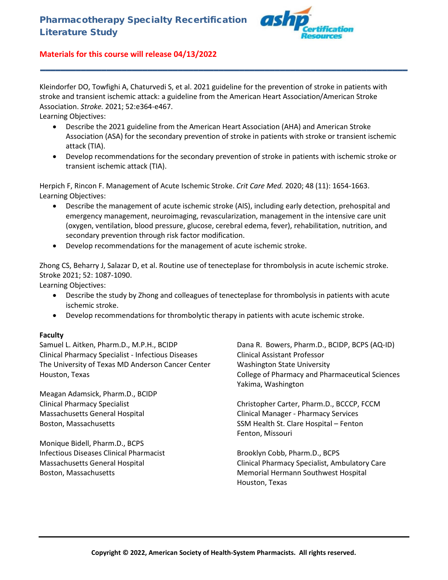

Kleindorfer DO, Towfighi A, Chaturvedi S, et al. 2021 guideline for the prevention of stroke in patients with stroke and transient ischemic attack: a guideline from the American Heart Association/American Stroke Association. *Stroke.* 2021; 52:e364-e467.

Learning Objectives:

• Describe the 2021 guideline from the American Heart Association (AHA) and American Stroke Association (ASA) for the secondary prevention of stroke in patients with stroke or transient ischemic attack (TIA).

**\_\_\_\_\_\_\_\_\_\_\_\_\_\_\_\_\_\_\_\_\_\_\_\_\_\_\_\_\_\_\_\_\_\_\_\_\_\_\_\_\_\_\_\_\_\_\_\_\_\_\_\_\_\_\_\_\_\_\_\_\_\_\_\_\_\_\_\_\_\_\_\_**

• Develop recommendations for the secondary prevention of stroke in patients with ischemic stroke or transient ischemic attack (TIA).

Herpich F, Rincon F. Management of Acute Ischemic Stroke. *Crit Care Med.* 2020; 48 (11): 1654-1663. Learning Objectives:

- Describe the management of acute ischemic stroke (AIS), including early detection, prehospital and emergency management, neuroimaging, revascularization, management in the intensive care unit (oxygen, ventilation, blood pressure, glucose, cerebral edema, fever), rehabilitation, nutrition, and secondary prevention through risk factor modification.
- Develop recommendations for the management of acute ischemic stroke.

Zhong CS, Beharry J, Salazar D, et al. Routine use of tenecteplase for thrombolysis in acute ischemic stroke. Stroke 2021; 52: 1087-1090.

Learning Objectives:

- Describe the study by Zhong and colleagues of tenecteplase for thrombolysis in patients with acute ischemic stroke.
- Develop recommendations for thrombolytic therapy in patients with acute ischemic stroke.

#### **Faculty**

Samuel L. Aitken, Pharm.D., M.P.H., BCIDP Clinical Pharmacy Specialist - Infectious Diseases The University of Texas MD Anderson Cancer Center Houston, Texas

Meagan Adamsick, Pharm.D., BCIDP Clinical Pharmacy Specialist Massachusetts General Hospital Boston, Massachusetts

Monique Bidell, Pharm.D., BCPS Infectious Diseases Clinical Pharmacist Massachusetts General Hospital Boston, Massachusetts

Dana R. Bowers, Pharm.D., BCIDP, BCPS (AQ-ID) Clinical Assistant Professor Washington State University College of Pharmacy and Pharmaceutical Sciences Yakima, Washington

Christopher Carter, Pharm.D., BCCCP, FCCM Clinical Manager - Pharmacy Services SSM Health St. Clare Hospital – Fenton Fenton, Missouri

Brooklyn Cobb, Pharm.D., BCPS Clinical Pharmacy Specialist, Ambulatory Care Memorial Hermann Southwest Hospital Houston, Texas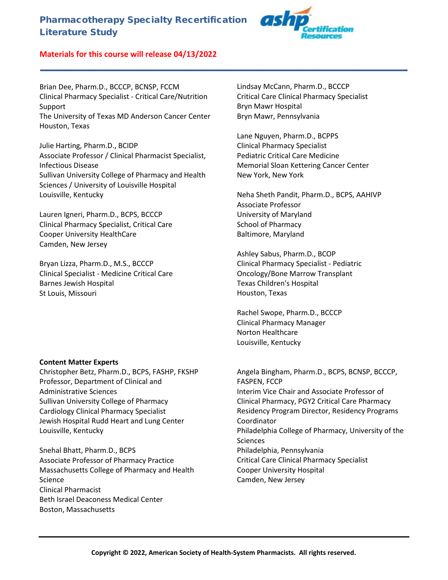# Pharmacotherapy Specialty Recertification Literature Study



## **Materials for this course will release 04/13/2022**

Brian Dee, Pharm.D., BCCCP, BCNSP, FCCM Clinical Pharmacy Specialist - Critical Care/Nutrition Support The University of Texas MD Anderson Cancer Center Houston, Texas

Julie Harting, Pharm.D., BCIDP Associate Professor / Clinical Pharmacist Specialist, Infectious Disease Sullivan University College of Pharmacy and Health Sciences / University of Louisville Hospital Louisville, Kentucky

Lauren Igneri, Pharm.D., BCPS, BCCCP Clinical Pharmacy Specialist, Critical Care Cooper University HealthCare Camden, New Jersey

Bryan Lizza, Pharm.D., M.S., BCCCP Clinical Specialist - Medicine Critical Care Barnes Jewish Hospital St Louis, Missouri

#### **Content Matter Experts**

Christopher Betz, Pharm.D., BCPS, FASHP, FKSHP Professor, Department of Clinical and Administrative Sciences Sullivan University College of Pharmacy Cardiology Clinical Pharmacy Specialist Jewish Hospital Rudd Heart and Lung Center Louisville, Kentucky

Snehal Bhatt, Pharm.D., BCPS Associate Professor of Pharmacy Practice Massachusetts College of Pharmacy and Health Science Clinical Pharmacist Beth Israel Deaconess Medical Center Boston, Massachusetts

Lindsay McCann, Pharm.D., BCCCP Critical Care Clinical Pharmacy Specialist Bryn Mawr Hospital Bryn Mawr, Pennsylvania

**\_\_\_\_\_\_\_\_\_\_\_\_\_\_\_\_\_\_\_\_\_\_\_\_\_\_\_\_\_\_\_\_\_\_\_\_\_\_\_\_\_\_\_\_\_\_\_\_\_\_\_\_\_\_\_\_\_\_\_\_\_\_\_\_\_\_\_\_\_\_\_\_**

Lane Nguyen, Pharm.D., BCPPS Clinical Pharmacy Specialist Pediatric Critical Care Medicine Memorial Sloan Kettering Cancer Center New York, New York

Neha Sheth Pandit, Pharm.D., BCPS, AAHIVP Associate Professor University of Maryland School of Pharmacy Baltimore, Maryland

Ashley Sabus, Pharm.D., BCOP Clinical Pharmacy Specialist - Pediatric Oncology/Bone Marrow Transplant Texas Children's Hospital Houston, Texas

Rachel Swope, Pharm.D., BCCCP Clinical Pharmacy Manager Norton Healthcare Louisville, Kentucky

Angela Bingham, Pharm.D., BCPS, BCNSP, BCCCP, FASPEN, FCCP Interim Vice Chair and Associate Professor of Clinical Pharmacy, PGY2 Critical Care Pharmacy Residency Program Director, Residency Programs Coordinator Philadelphia College of Pharmacy, University of the Sciences Philadelphia, Pennsylvania Critical Care Clinical Pharmacy Specialist Cooper University Hospital Camden, New Jersey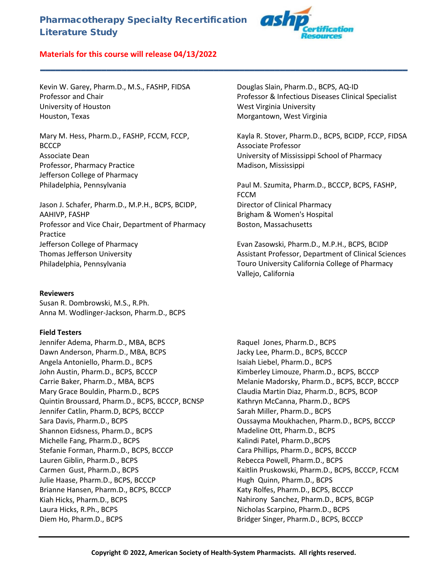# Pharmacotherapy Specialty Recertification Literature Study

**\_\_\_\_\_\_\_\_\_\_\_\_\_\_\_\_\_\_\_\_\_\_\_\_\_\_\_\_\_\_\_\_\_\_\_\_\_\_\_\_\_\_\_\_\_\_\_\_\_\_\_\_\_\_\_\_\_\_\_\_\_\_\_\_\_\_\_\_\_\_\_\_**



## **Materials for this course will release 04/13/2022**

Kevin W. Garey, Pharm.D., M.S., FASHP, FIDSA Professor and Chair University of Houston Houston, Texas

Mary M. Hess, Pharm.D., FASHP, FCCM, FCCP, **BCCCP** Associate Dean Professor, Pharmacy Practice Jefferson College of Pharmacy Philadelphia, Pennsylvania

Jason J. Schafer, Pharm.D., M.P.H., BCPS, BCIDP, AAHIVP, FASHP Professor and Vice Chair, Department of Pharmacy Practice Jefferson College of Pharmacy Thomas Jefferson University Philadelphia, Pennsylvania

#### **Reviewers**

Susan R. Dombrowski, M.S., R.Ph. Anna M. Wodlinger-Jackson, Pharm.D., BCPS

#### **Field Testers**

Jennifer Adema, Pharm.D., MBA, BCPS Dawn Anderson, Pharm.D., MBA, BCPS Angela Antoniello, Pharm.D., BCPS John Austin, Pharm.D., BCPS, BCCCP Carrie Baker, Pharm.D., MBA, BCPS Mary Grace Bouldin, Pharm.D., BCPS Quintin Broussard, Pharm.D., BCPS, BCCCP, BCNSP Jennifer Catlin, Pharm.D, BCPS, BCCCP Sara Davis, Pharm.D., BCPS Shannon Eidsness, Pharm.D., BCPS Michelle Fang, Pharm.D., BCPS Stefanie Forman, Pharm.D., BCPS, BCCCP Lauren Giblin, Pharm.D., BCPS Carmen Gust, Pharm.D., BCPS Julie Haase, Pharm.D., BCPS, BCCCP Brianne Hansen, Pharm.D., BCPS, BCCCP Kiah Hicks, Pharm.D., BCPS Laura Hicks, R.Ph., BCPS Diem Ho, Pharm.D., BCPS

Douglas Slain, Pharm.D., BCPS, AQ-ID Professor & Infectious Diseases Clinical Specialist West Virginia University Morgantown, West Virginia

Kayla R. Stover, Pharm.D., BCPS, BCIDP, FCCP, FIDSA Associate Professor University of Mississippi School of Pharmacy Madison, Mississippi

Paul M. Szumita, Pharm.D., BCCCP, BCPS, FASHP, FCCM Director of Clinical Pharmacy Brigham & Women's Hospital Boston, Massachusetts

Evan Zasowski, Pharm.D., M.P.H., BCPS, BCIDP Assistant Professor, Department of Clinical Sciences Touro University California College of Pharmacy Vallejo, California

Raquel Jones, Pharm.D., BCPS Jacky Lee, Pharm.D., BCPS, BCCCP Isaiah Liebel, Pharm.D., BCPS Kimberley Limouze, Pharm.D., BCPS, BCCCP Melanie Madorsky, Pharm.D., BCPS, BCCP, BCCCP Claudia Martin Diaz, Pharm.D., BCPS, BCOP Kathryn McCanna, Pharm.D., BCPS Sarah Miller, Pharm.D., BCPS Oussayma Moukhachen, Pharm.D., BCPS, BCCCP Madeline Ott, Pharm.D., BCPS Kalindi Patel, Pharm.D.,BCPS Cara Phillips, Pharm.D., BCPS, BCCCP Rebecca Powell, Pharm.D., BCPS Kaitlin Pruskowski, Pharm.D., BCPS, BCCCP, FCCM Hugh Quinn, Pharm.D., BCPS Katy Rolfes, Pharm.D., BCPS, BCCCP Nahirony Sanchez, Pharm.D., BCPS, BCGP Nicholas Scarpino, Pharm.D., BCPS Bridger Singer, Pharm.D., BCPS, BCCCP